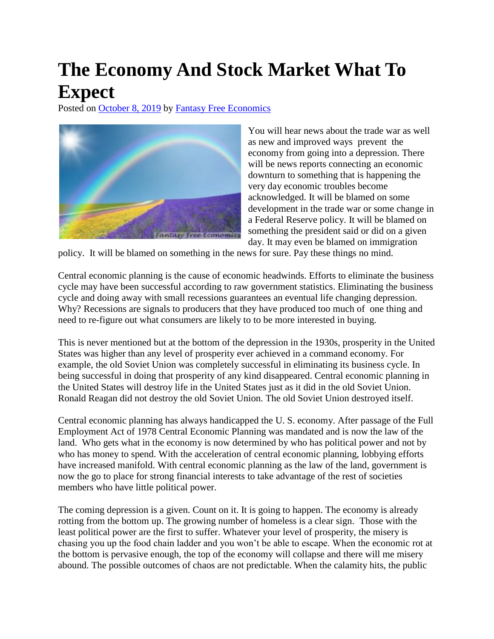## **The Economy And Stock Market What To Expect**

Posted on [October 8, 2019](http://quillian.net/blog/?p=6706) by [Fantasy Free Economics](http://quillian.net/blog/author/james-quillian/)



You will hear news about the trade war as well as new and improved ways prevent the economy from going into a depression. There will be news reports connecting an economic downturn to something that is happening the very day economic troubles become acknowledged. It will be blamed on some development in the trade war or some change in a Federal Reserve policy. It will be blamed on something the president said or did on a given day. It may even be blamed on immigration

policy. It will be blamed on something in the news for sure. Pay these things no mind.

Central economic planning is the cause of economic headwinds. Efforts to eliminate the business cycle may have been successful according to raw government statistics. Eliminating the business cycle and doing away with small recessions guarantees an eventual life changing depression. Why? Recessions are signals to producers that they have produced too much of one thing and need to re-figure out what consumers are likely to to be more interested in buying.

This is never mentioned but at the bottom of the depression in the 1930s, prosperity in the United States was higher than any level of prosperity ever achieved in a command economy. For example, the old Soviet Union was completely successful in eliminating its business cycle. In being successful in doing that prosperity of any kind disappeared. Central economic planning in the United States will destroy life in the United States just as it did in the old Soviet Union. Ronald Reagan did not destroy the old Soviet Union. The old Soviet Union destroyed itself.

Central economic planning has always handicapped the U. S. economy. After passage of the Full Employment Act of 1978 Central Economic Planning was mandated and is now the law of the land. Who gets what in the economy is now determined by who has political power and not by who has money to spend. With the acceleration of central economic planning, lobbying efforts have increased manifold. With central economic planning as the law of the land, government is now the go to place for strong financial interests to take advantage of the rest of societies members who have little political power.

The coming depression is a given. Count on it. It is going to happen. The economy is already rotting from the bottom up. The growing number of homeless is a clear sign. Those with the least political power are the first to suffer. Whatever your level of prosperity, the misery is chasing you up the food chain ladder and you won't be able to escape. When the economic rot at the bottom is pervasive enough, the top of the economy will collapse and there will me misery abound. The possible outcomes of chaos are not predictable. When the calamity hits, the public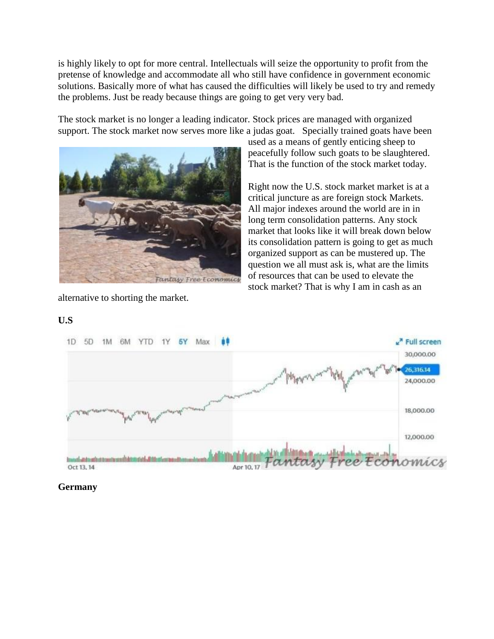is highly likely to opt for more central. Intellectuals will seize the opportunity to profit from the pretense of knowledge and accommodate all who still have confidence in government economic solutions. Basically more of what has caused the difficulties will likely be used to try and remedy the problems. Just be ready because things are going to get very very bad.

The stock market is no longer a leading indicator. Stock prices are managed with organized support. The stock market now serves more like a judas goat. Specially trained goats have been



used as a means of gently enticing sheep to peacefully follow such goats to be slaughtered. That is the function of the stock market today.

Right now the U.S. stock market market is at a critical juncture as are foreign stock Markets. All major indexes around the world are in in long term consolidation patterns. Any stock market that looks like it will break down below its consolidation pattern is going to get as much organized support as can be mustered up. The question we all must ask is, what are the limits of resources that can be used to elevate the stock market? That is why I am in cash as an

alternative to shorting the market.

## **U.S**



**Germany**